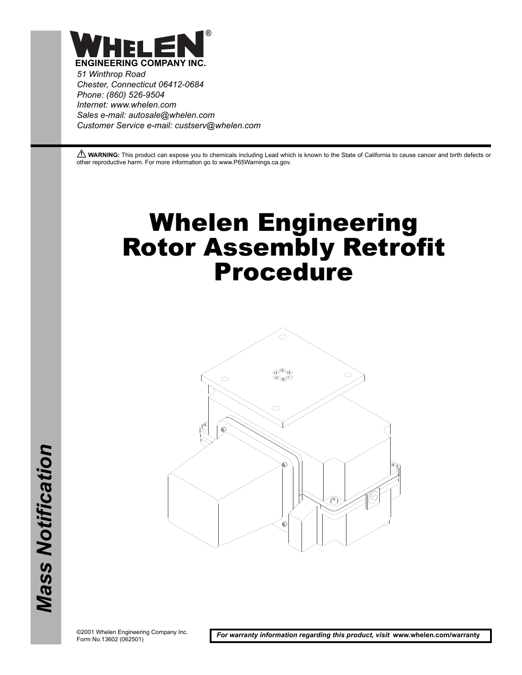

*51 Winthrop Road Chester, Connecticut 06412-0684 Phone: (860) 526-9504 Internet: www.whelen.com Sales e-mail: autosale@whelen.com Customer Service e-mail: custserv@whelen.com*

**A WARNING:** This product can expose you to chemicals including Lead which is known to the State of California to cause cancer and birth defects or other reproductive harm. For more information go to www.P65Warnings.ca.gov.

## Whelen Engineering Rotor Assembly Retrofit Procedure



©2001 Whelen Engineering Company Inc. Form No.13602 (062501)

*For warranty information regarding this product, visit* **www.whelen.com/warranty**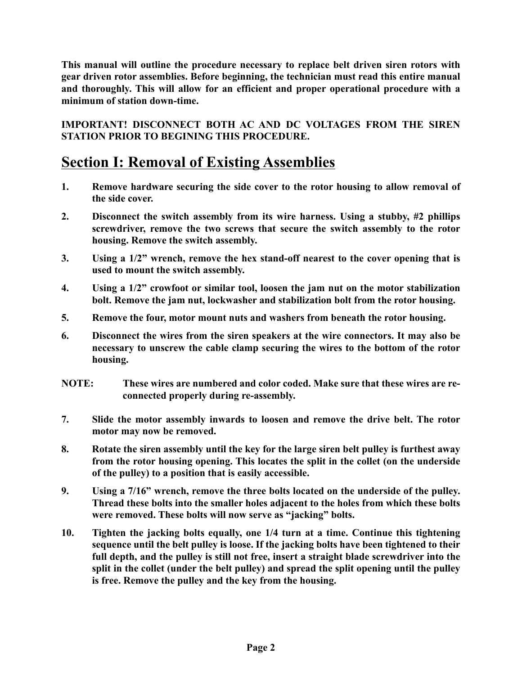**This manual will outline the procedure necessary to replace belt driven siren rotors with gear driven rotor assemblies. Before beginning, the technician must read this entire manual and thoroughly. This will allow for an efficient and proper operational procedure with a minimum of station down-time.**

**IMPORTANT! DISCONNECT BOTH AC AND DC VOLTAGES FROM THE SIREN STATION PRIOR TO BEGINING THIS PROCEDURE.**

## **Section I: Removal of Existing Assemblies**

- **1. Remove hardware securing the side cover to the rotor housing to allow removal of the side cover.**
- **2. Disconnect the switch assembly from its wire harness. Using a stubby, #2 phillips screwdriver, remove the two screws that secure the switch assembly to the rotor housing. Remove the switch assembly.**
- **3. Using a 1/2" wrench, remove the hex stand-off nearest to the cover opening that is used to mount the switch assembly.**
- **4. Using a 1/2" crowfoot or similar tool, loosen the jam nut on the motor stabilization bolt. Remove the jam nut, lockwasher and stabilization bolt from the rotor housing.**
- **5. Remove the four, motor mount nuts and washers from beneath the rotor housing.**
- **6. Disconnect the wires from the siren speakers at the wire connectors. It may also be necessary to unscrew the cable clamp securing the wires to the bottom of the rotor housing.**
- **NOTE: These wires are numbered and color coded. Make sure that these wires are reconnected properly during re-assembly.**
- **7. Slide the motor assembly inwards to loosen and remove the drive belt. The rotor motor may now be removed.**
- **8. Rotate the siren assembly until the key for the large siren belt pulley is furthest away from the rotor housing opening. This locates the split in the collet (on the underside of the pulley) to a position that is easily accessible.**
- **9. Using a 7/16" wrench, remove the three bolts located on the underside of the pulley. Thread these bolts into the smaller holes adjacent to the holes from which these bolts were removed. These bolts will now serve as "jacking" bolts.**
- **10. Tighten the jacking bolts equally, one 1/4 turn at a time. Continue this tightening sequence until the belt pulley is loose. If the jacking bolts have been tightened to their full depth, and the pulley is still not free, insert a straight blade screwdriver into the split in the collet (under the belt pulley) and spread the split opening until the pulley is free. Remove the pulley and the key from the housing.**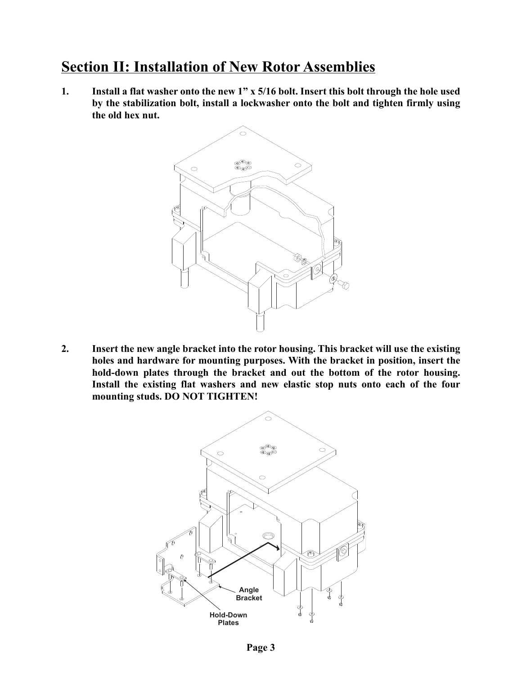## **Section II: Installation of New Rotor Assemblies**

**1. Install a flat washer onto the new 1" x 5/16 bolt. Insert this bolt through the hole used by the stabilization bolt, install a lockwasher onto the bolt and tighten firmly using the old hex nut.**



**2. Insert the new angle bracket into the rotor housing. This bracket will use the existing holes and hardware for mounting purposes. With the bracket in position, insert the hold-down plates through the bracket and out the bottom of the rotor housing. Install the existing flat washers and new elastic stop nuts onto each of the four mounting studs. DO NOT TIGHTEN!** 

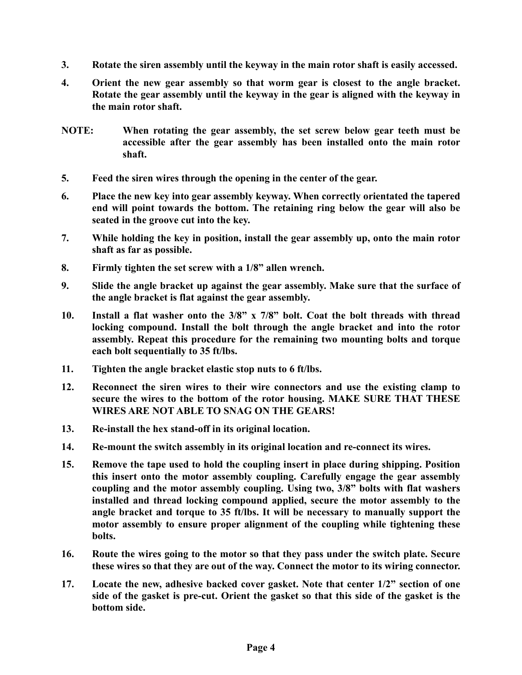- **3. Rotate the siren assembly until the keyway in the main rotor shaft is easily accessed.**
- **4. Orient the new gear assembly so that worm gear is closest to the angle bracket. Rotate the gear assembly until the keyway in the gear is aligned with the keyway in the main rotor shaft.**
- **NOTE: When rotating the gear assembly, the set screw below gear teeth must be accessible after the gear assembly has been installed onto the main rotor shaft.**
- **5. Feed the siren wires through the opening in the center of the gear.**
- **6. Place the new key into gear assembly keyway. When correctly orientated the tapered end will point towards the bottom. The retaining ring below the gear will also be seated in the groove cut into the key.**
- **7. While holding the key in position, install the gear assembly up, onto the main rotor shaft as far as possible.**
- **8. Firmly tighten the set screw with a 1/8" allen wrench.**
- **9. Slide the angle bracket up against the gear assembly. Make sure that the surface of the angle bracket is flat against the gear assembly.**
- **10. Install a flat washer onto the 3/8" x 7/8" bolt. Coat the bolt threads with thread locking compound. Install the bolt through the angle bracket and into the rotor assembly. Repeat this procedure for the remaining two mounting bolts and torque each bolt sequentially to 35 ft/lbs.**
- **11. Tighten the angle bracket elastic stop nuts to 6 ft/lbs.**
- **12. Reconnect the siren wires to their wire connectors and use the existing clamp to secure the wires to the bottom of the rotor housing. MAKE SURE THAT THESE WIRES ARE NOT ABLE TO SNAG ON THE GEARS!**
- **13. Re-install the hex stand-off in its original location.**
- **14. Re-mount the switch assembly in its original location and re-connect its wires.**
- **15. Remove the tape used to hold the coupling insert in place during shipping. Position this insert onto the motor assembly coupling. Carefully engage the gear assembly coupling and the motor assembly coupling. Using two, 3/8" bolts with flat washers installed and thread locking compound applied, secure the motor assembly to the angle bracket and torque to 35 ft/lbs. It will be necessary to manually support the motor assembly to ensure proper alignment of the coupling while tightening these bolts.**
- **16. Route the wires going to the motor so that they pass under the switch plate. Secure these wires so that they are out of the way. Connect the motor to its wiring connector.**
- **17. Locate the new, adhesive backed cover gasket. Note that center 1/2" section of one side of the gasket is pre-cut. Orient the gasket so that this side of the gasket is the bottom side.**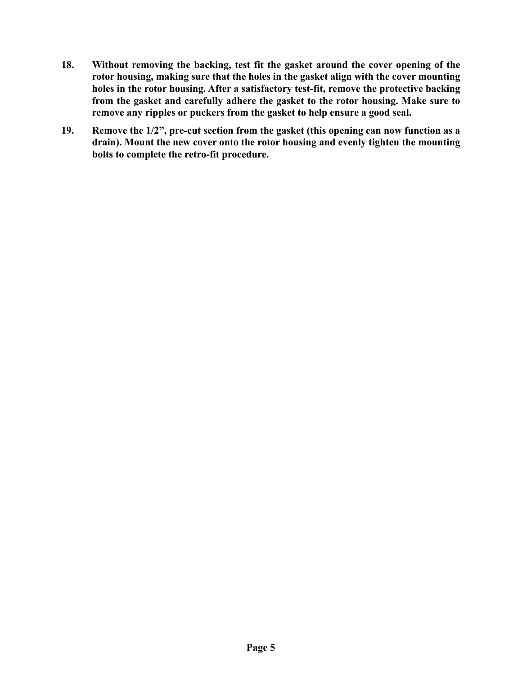- **18. Without removing the backing, test fit the gasket around the cover opening of the rotor housing, making sure that the holes in the gasket align with the cover mounting holes in the rotor housing. After a satisfactory test-fit, remove the protective backing from the gasket and carefully adhere the gasket to the rotor housing. Make sure to remove any ripples or puckers from the gasket to help ensure a good seal.**
- **19. Remove the 1/2", pre-cut section from the gasket (this opening can now function as a drain). Mount the new cover onto the rotor housing and evenly tighten the mounting bolts to complete the retro-fit procedure.**